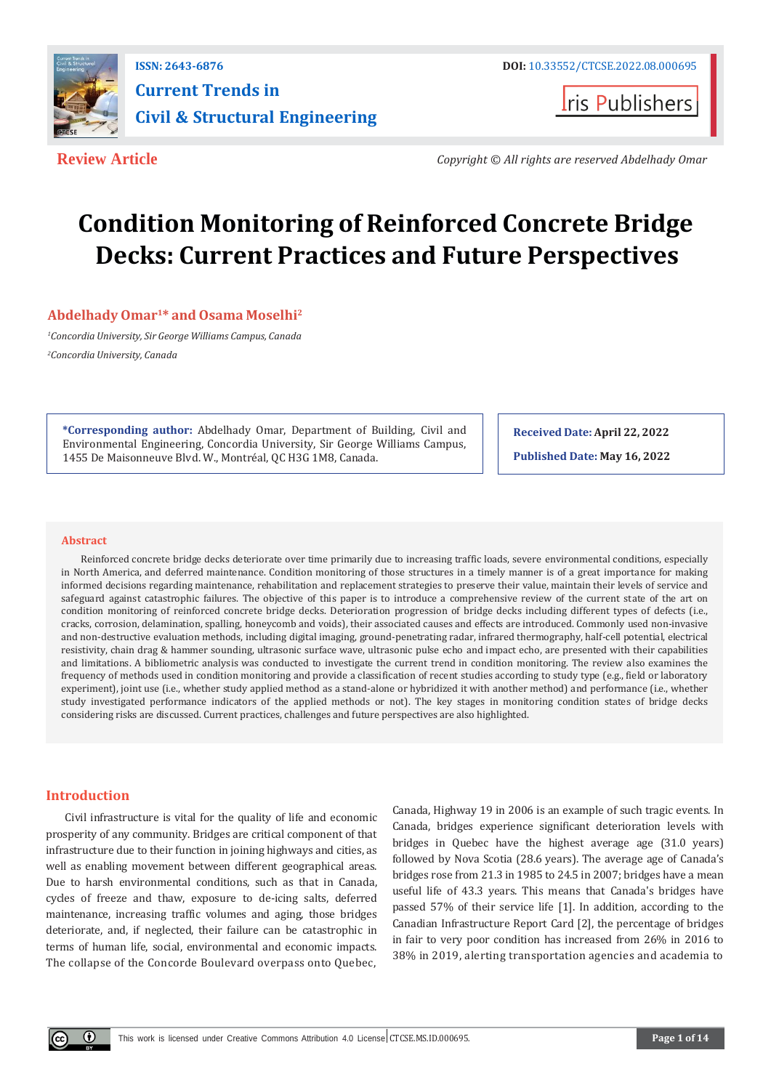

## **ISSN: 2643-6876 Current Trends in Civil & Structural Engineering**

**Iris Publishers** 

**Review Article** *Copyright © All rights are reserved Abdelhady Omar*

# **Condition Monitoring of Reinforced Concrete Bridge Decks: Current Practices and Future Perspectives**

#### **Abdelhady Omar1\* and Osama Moselhi<sup>2</sup>**

*<sup>1</sup>Concordia University, Sir George Williams Campus, Canada <sup>2</sup>Concordia University, Canada*

**\*Corresponding author:** Abdelhady Omar, Department of Building, Civil and Environmental Engineering, Concordia University, Sir George Williams Campus, 1455 De Maisonneuve Blvd. W., Montréal, QC H3G 1M8, Canada.

**Received Date: April 22, 2022**

**Published Date: May 16, 2022**

#### **Abstract**

Reinforced concrete bridge decks deteriorate over time primarily due to increasing traffic loads, severe environmental conditions, especially in North America, and deferred maintenance. Condition monitoring of those structures in a timely manner is of a great importance for making informed decisions regarding maintenance, rehabilitation and replacement strategies to preserve their value, maintain their levels of service and safeguard against catastrophic failures. The objective of this paper is to introduce a comprehensive review of the current state of the art on condition monitoring of reinforced concrete bridge decks. Deterioration progression of bridge decks including different types of defects (i.e., cracks, corrosion, delamination, spalling, honeycomb and voids), their associated causes and effects are introduced. Commonly used non-invasive and non-destructive evaluation methods, including digital imaging, ground-penetrating radar, infrared thermography, half-cell potential, electrical resistivity, chain drag & hammer sounding, ultrasonic surface wave, ultrasonic pulse echo and impact echo, are presented with their capabilities and limitations. A bibliometric analysis was conducted to investigate the current trend in condition monitoring. The review also examines the frequency of methods used in condition monitoring and provide a classification of recent studies according to study type (e.g., field or laboratory experiment), joint use (i.e., whether study applied method as a stand-alone or hybridized it with another method) and performance (i.e., whether study investigated performance indicators of the applied methods or not). The key stages in monitoring condition states of bridge decks considering risks are discussed. Current practices, challenges and future perspectives are also highlighted.

#### **Introduction**

Civil infrastructure is vital for the quality of life and economic prosperity of any community. Bridges are critical component of that infrastructure due to their function in joining highways and cities, as well as enabling movement between different geographical areas. Due to harsh environmental conditions, such as that in Canada, cycles of freeze and thaw, exposure to de-icing salts, deferred maintenance, increasing traffic volumes and aging, those bridges deteriorate, and, if neglected, their failure can be catastrophic in terms of human life, social, environmental and economic impacts. The collapse of the Concorde Boulevard overpass onto Quebec,

Canada, Highway 19 in 2006 is an example of such tragic events. In Canada, bridges experience significant deterioration levels with bridges in Quebec have the highest average age (31.0 years) followed by Nova Scotia (28.6 years). The average age of Canada's bridges rose from 21.3 in 1985 to 24.5 in 2007; bridges have a mean useful life of 43.3 years. This means that Canada's bridges have passed 57% of their service life [1]. In addition, according to the Canadian Infrastructure Report Card [2], the percentage of bridges in fair to very poor condition has increased from 26% in 2016 to 38% in 2019, alerting transportation agencies and academia to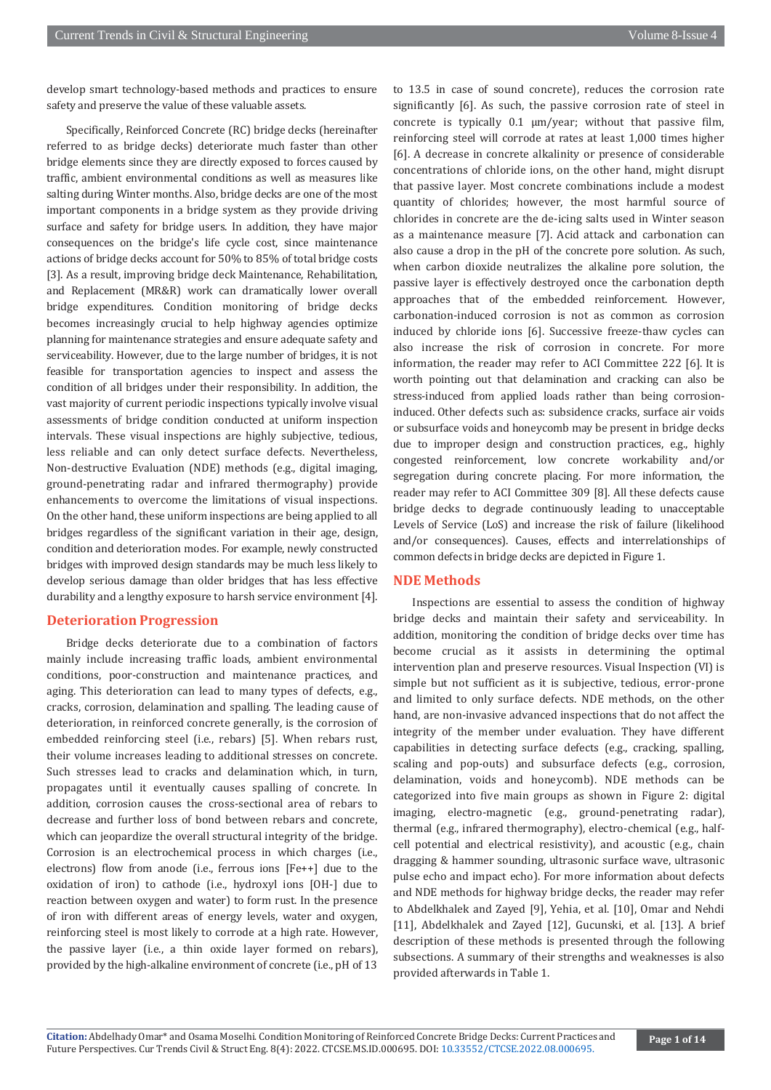develop smart technology-based methods and practices to ensure safety and preserve the value of these valuable assets.

Specifically, Reinforced Concrete (RC) bridge decks (hereinafter referred to as bridge decks) deteriorate much faster than other bridge elements since they are directly exposed to forces caused by traffic, ambient environmental conditions as well as measures like salting during Winter months. Also, bridge decks are one of the most important components in a bridge system as they provide driving surface and safety for bridge users. In addition, they have major consequences on the bridge's life cycle cost, since maintenance actions of bridge decks account for 50% to 85% of total bridge costs [3]. As a result, improving bridge deck Maintenance, Rehabilitation, and Replacement (MR&R) work can dramatically lower overall bridge expenditures. Condition monitoring of bridge decks becomes increasingly crucial to help highway agencies optimize planning for maintenance strategies and ensure adequate safety and serviceability. However, due to the large number of bridges, it is not feasible for transportation agencies to inspect and assess the condition of all bridges under their responsibility. In addition, the vast majority of current periodic inspections typically involve visual assessments of bridge condition conducted at uniform inspection intervals. These visual inspections are highly subjective, tedious, less reliable and can only detect surface defects. Nevertheless, Non-destructive Evaluation (NDE) methods (e.g., digital imaging, ground-penetrating radar and infrared thermography) provide enhancements to overcome the limitations of visual inspections. On the other hand, these uniform inspections are being applied to all bridges regardless of the significant variation in their age, design, condition and deterioration modes. For example, newly constructed bridges with improved design standards may be much less likely to develop serious damage than older bridges that has less effective durability and a lengthy exposure to harsh service environment [4].

#### **Deterioration Progression**

Bridge decks deteriorate due to a combination of factors mainly include increasing traffic loads, ambient environmental conditions, poor-construction and maintenance practices, and aging. This deterioration can lead to many types of defects, e.g., cracks, corrosion, delamination and spalling. The leading cause of deterioration, in reinforced concrete generally, is the corrosion of embedded reinforcing steel (i.e., rebars) [5]. When rebars rust, their volume increases leading to additional stresses on concrete. Such stresses lead to cracks and delamination which, in turn, propagates until it eventually causes spalling of concrete. In addition, corrosion causes the cross-sectional area of rebars to decrease and further loss of bond between rebars and concrete, which can jeopardize the overall structural integrity of the bridge. Corrosion is an electrochemical process in which charges (i.e., electrons) flow from anode (i.e., ferrous ions [Fe++] due to the oxidation of iron) to cathode (i.e., hydroxyl ions [OH-] due to reaction between oxygen and water) to form rust. In the presence of iron with different areas of energy levels, water and oxygen, reinforcing steel is most likely to corrode at a high rate. However, the passive layer (i.e., a thin oxide layer formed on rebars), provided by the high-alkaline environment of concrete (i.e., pH of 13

to 13.5 in case of sound concrete), reduces the corrosion rate significantly [6]. As such, the passive corrosion rate of steel in concrete is typically 0.1 μm/year; without that passive film, reinforcing steel will corrode at rates at least 1,000 times higher [6]. A decrease in concrete alkalinity or presence of considerable concentrations of chloride ions, on the other hand, might disrupt that passive layer. Most concrete combinations include a modest quantity of chlorides; however, the most harmful source of chlorides in concrete are the de-icing salts used in Winter season as a maintenance measure [7]. Acid attack and carbonation can also cause a drop in the pH of the concrete pore solution. As such, when carbon dioxide neutralizes the alkaline pore solution, the passive layer is effectively destroyed once the carbonation depth approaches that of the embedded reinforcement. However, carbonation-induced corrosion is not as common as corrosion induced by chloride ions [6]. Successive freeze-thaw cycles can also increase the risk of corrosion in concrete. For more information, the reader may refer to ACI Committee 222 [6]. It is worth pointing out that delamination and cracking can also be stress-induced from applied loads rather than being corrosioninduced. Other defects such as: subsidence cracks, surface air voids or subsurface voids and honeycomb may be present in bridge decks due to improper design and construction practices, e.g., highly congested reinforcement, low concrete workability and/or segregation during concrete placing. For more information, the reader may refer to ACI Committee 309 [8]. All these defects cause bridge decks to degrade continuously leading to unacceptable Levels of Service (LoS) and increase the risk of failure (likelihood and/or consequences). Causes, effects and interrelationships of common defects in bridge decks are depicted in Figure 1.

#### **NDE Methods**

Inspections are essential to assess the condition of highway bridge decks and maintain their safety and serviceability. In addition, monitoring the condition of bridge decks over time has become crucial as it assists in determining the optimal intervention plan and preserve resources. Visual Inspection (VI) is simple but not sufficient as it is subjective, tedious, error-prone and limited to only surface defects. NDE methods, on the other hand, are non-invasive advanced inspections that do not affect the integrity of the member under evaluation. They have different capabilities in detecting surface defects (e.g., cracking, spalling, scaling and pop-outs) and subsurface defects (e.g., corrosion, delamination, voids and honeycomb). NDE methods can be categorized into five main groups as shown in Figure 2: digital imaging, electro-magnetic (e.g., ground-penetrating radar), thermal (e.g., infrared thermography), electro-chemical (e.g., halfcell potential and electrical resistivity), and acoustic (e.g., chain dragging & hammer sounding, ultrasonic surface wave, ultrasonic pulse echo and impact echo). For more information about defects and NDE methods for highway bridge decks, the reader may refer to Abdelkhalek and Zayed [9], Yehia, et al. [10], Omar and Nehdi [11], Abdelkhalek and Zayed [12], Gucunski, et al. [13]. A brief description of these methods is presented through the following subsections. A summary of their strengths and weaknesses is also provided afterwards in Table 1.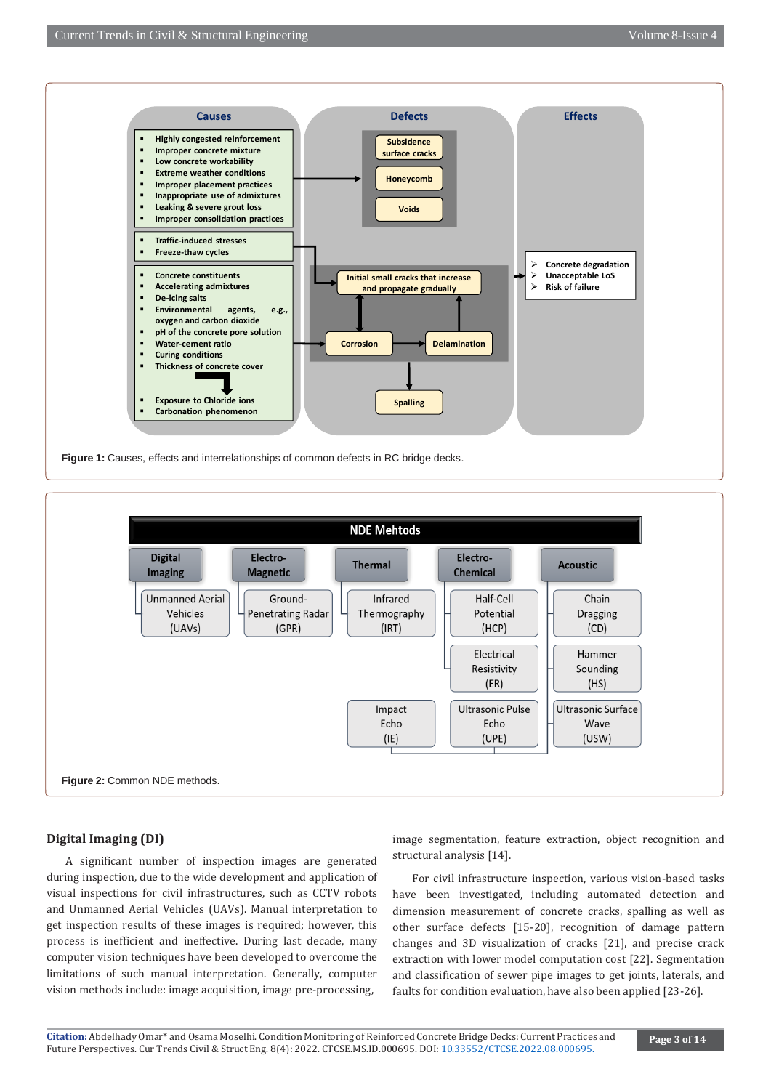



#### **Digital Imaging (DI)**

A significant number of inspection images are generated during inspection, due to the wide development and application of visual inspections for civil infrastructures, such as CCTV robots and Unmanned Aerial Vehicles (UAVs). Manual interpretation to get inspection results of these images is required; however, this process is inefficient and ineffective. During last decade, many computer vision techniques have been developed to overcome the limitations of such manual interpretation. Generally, computer vision methods include: image acquisition, image pre-processing,

image segmentation, feature extraction, object recognition and structural analysis [14].

For civil infrastructure inspection, various vision-based tasks have been investigated, including automated detection and dimension measurement of concrete cracks, spalling as well as other surface defects [15-20], recognition of damage pattern changes and 3D visualization of cracks [21], and precise crack extraction with lower model computation cost [22]. Segmentation and classification of sewer pipe images to get joints, laterals, and faults for condition evaluation, have also been applied [23-26].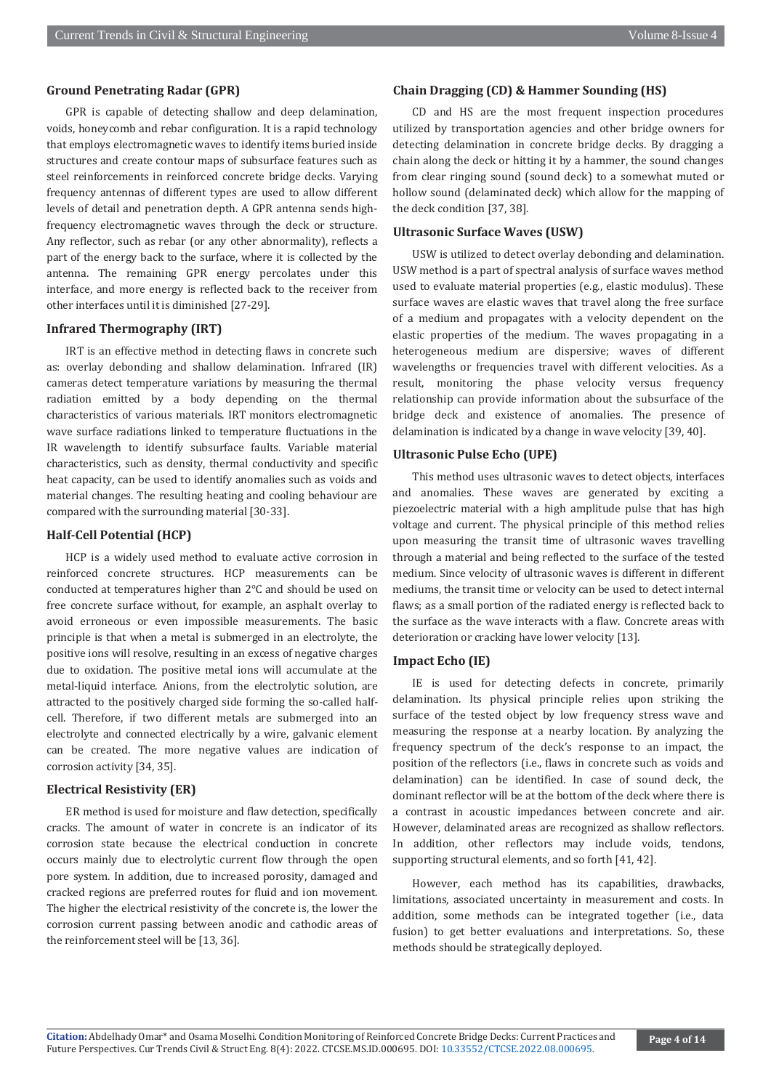#### **Ground Penetrating Radar (GPR)**

GPR is capable of detecting shallow and deep delamination, voids, honeycomb and rebar configuration. It is a rapid technology that employs electromagnetic waves to identify items buried inside structures and create contour maps of subsurface features such as steel reinforcements in reinforced concrete bridge decks. Varying frequency antennas of different types are used to allow different levels of detail and penetration depth. A GPR antenna sends highfrequency electromagnetic waves through the deck or structure. Any reflector, such as rebar (or any other abnormality), reflects a part of the energy back to the surface, where it is collected by the antenna. The remaining GPR energy percolates under this interface, and more energy is reflected back to the receiver from other interfaces until it is diminished [27-29].

#### **Infrared Thermography (IRT)**

IRT is an effective method in detecting flaws in concrete such as: overlay debonding and shallow delamination. Infrared (IR) cameras detect temperature variations by measuring the thermal radiation emitted by a body depending on the thermal characteristics of various materials. IRT monitors electromagnetic wave surface radiations linked to temperature fluctuations in the IR wavelength to identify subsurface faults. Variable material characteristics, such as density, thermal conductivity and specific heat capacity, can be used to identify anomalies such as voids and material changes. The resulting heating and cooling behaviour are compared with the surrounding material [30-33].

#### **Half-Cell Potential (HCP)**

HCP is a widely used method to evaluate active corrosion in reinforced concrete structures. HCP measurements can be conducted at temperatures higher than 2℃ and should be used on free concrete surface without, for example, an asphalt overlay to avoid erroneous or even impossible measurements. The basic principle is that when a metal is submerged in an electrolyte, the positive ions will resolve, resulting in an excess of negative charges due to oxidation. The positive metal ions will accumulate at the metal-liquid interface. Anions, from the electrolytic solution, are attracted to the positively charged side forming the so-called halfcell. Therefore, if two different metals are submerged into an electrolyte and connected electrically by a wire, galvanic element can be created. The more negative values are indication of corrosion activity [34, 35].

#### **Electrical Resistivity (ER)**

ER method is used for moisture and flaw detection, specifically cracks. The amount of water in concrete is an indicator of its corrosion state because the electrical conduction in concrete occurs mainly due to electrolytic current flow through the open pore system. In addition, due to increased porosity, damaged and cracked regions are preferred routes for fluid and ion movement. The higher the electrical resistivity of the concrete is, the lower the corrosion current passing between anodic and cathodic areas of the reinforcement steel will be [13, 36].

#### **Chain Dragging (CD) & Hammer Sounding (HS)**

CD and HS are the most frequent inspection procedures utilized by transportation agencies and other bridge owners for detecting delamination in concrete bridge decks. By dragging a chain along the deck or hitting it by a hammer, the sound changes from clear ringing sound (sound deck) to a somewhat muted or hollow sound (delaminated deck) which allow for the mapping of the deck condition [37, 38].

#### **Ultrasonic Surface Waves (USW)**

USW is utilized to detect overlay debonding and delamination. USW method is a part of spectral analysis of surface waves method used to evaluate material properties (e.g., elastic modulus). These surface waves are elastic waves that travel along the free surface of a medium and propagates with a velocity dependent on the elastic properties of the medium. The waves propagating in a heterogeneous medium are dispersive; waves of different wavelengths or frequencies travel with different velocities. As a result, monitoring the phase velocity versus frequency relationship can provide information about the subsurface of the bridge deck and existence of anomalies. The presence of delamination is indicated by a change in wave velocity [39, 40].

#### **Ultrasonic Pulse Echo (UPE)**

This method uses ultrasonic waves to detect objects, interfaces and anomalies. These waves are generated by exciting a piezoelectric material with a high amplitude pulse that has high voltage and current. The physical principle of this method relies upon measuring the transit time of ultrasonic waves travelling through a material and being reflected to the surface of the tested medium. Since velocity of ultrasonic waves is different in different mediums, the transit time or velocity can be used to detect internal flaws; as a small portion of the radiated energy is reflected back to the surface as the wave interacts with a flaw. Concrete areas with deterioration or cracking have lower velocity [13].

#### **Impact Echo (IE)**

IE is used for detecting defects in concrete, primarily delamination. Its physical principle relies upon striking the surface of the tested object by low frequency stress wave and measuring the response at a nearby location. By analyzing the frequency spectrum of the deck's response to an impact, the position of the reflectors (i.e., flaws in concrete such as voids and delamination) can be identified. In case of sound deck, the dominant reflector will be at the bottom of the deck where there is a contrast in acoustic impedances between concrete and air. However, delaminated areas are recognized as shallow reflectors. In addition, other reflectors may include voids, tendons, supporting structural elements, and so forth [41, 42].

However, each method has its capabilities, drawbacks, limitations, associated uncertainty in measurement and costs. In addition, some methods can be integrated together (i.e., data fusion) to get better evaluations and interpretations. So, these methods should be strategically deployed.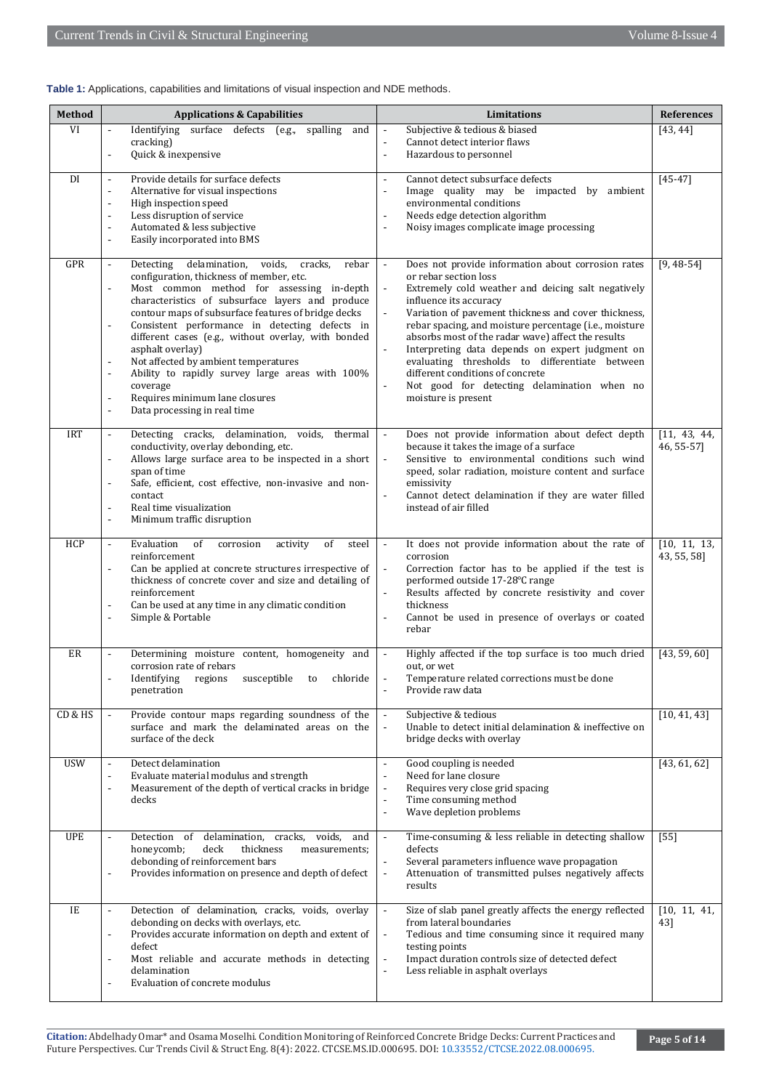| Table 1: Applications, capabilities and limitations of visual inspection and NDE methods. |  |  |  |  |
|-------------------------------------------------------------------------------------------|--|--|--|--|
|-------------------------------------------------------------------------------------------|--|--|--|--|

| <b>Method</b> | <b>Applications &amp; Capabilities</b>                                                                                                                                                                                                                                                                                                                                                                                                                                                                                                                                                                                                                                               | Limitations                                                                                                                                                                                                                                                                                                                                                                                                                                                                                                                                                                    | <b>References</b>           |
|---------------|--------------------------------------------------------------------------------------------------------------------------------------------------------------------------------------------------------------------------------------------------------------------------------------------------------------------------------------------------------------------------------------------------------------------------------------------------------------------------------------------------------------------------------------------------------------------------------------------------------------------------------------------------------------------------------------|--------------------------------------------------------------------------------------------------------------------------------------------------------------------------------------------------------------------------------------------------------------------------------------------------------------------------------------------------------------------------------------------------------------------------------------------------------------------------------------------------------------------------------------------------------------------------------|-----------------------------|
| VI            | Identifying surface defects (e.g.,<br>spalling<br>$\overline{\phantom{a}}$<br>and<br>cracking)<br>Quick & inexpensive                                                                                                                                                                                                                                                                                                                                                                                                                                                                                                                                                                | Subjective & tedious & biased<br>$\overline{\phantom{a}}$<br>Cannot detect interior flaws<br>$\overline{a}$<br>Hazardous to personnel<br>$\overline{\phantom{a}}$                                                                                                                                                                                                                                                                                                                                                                                                              | [43, 44]                    |
| DI            | Provide details for surface defects<br>$\overline{\phantom{a}}$<br>Alternative for visual inspections<br>$\overline{\phantom{a}}$<br>High inspection speed<br>$\overline{a}$<br>Less disruption of service<br>$\overline{\phantom{a}}$<br>Automated & less subjective<br>$\overline{a}$<br>Easily incorporated into BMS<br>$\overline{a}$                                                                                                                                                                                                                                                                                                                                            | Cannot detect subsurface defects<br>$\overline{\phantom{a}}$<br>Image quality may be impacted by ambient<br>$\overline{\phantom{a}}$<br>environmental conditions<br>Needs edge detection algorithm<br>L.<br>Noisy images complicate image processing<br>÷,                                                                                                                                                                                                                                                                                                                     | $[45 - 47]$                 |
| GPR           | delamination,<br>voids,<br>cracks,<br>Detecting<br>rebar<br>$\blacksquare$<br>configuration, thickness of member, etc.<br>Most common method for assessing in-depth<br>$\overline{a}$<br>characteristics of subsurface layers and produce<br>contour maps of subsurface features of bridge decks<br>Consistent performance in detecting defects in<br>$\overline{a}$<br>different cases (e.g., without overlay, with bonded<br>asphalt overlay)<br>Not affected by ambient temperatures<br>$\overline{a}$<br>Ability to rapidly survey large areas with 100%<br>$\overline{a}$<br>coverage<br>Requires minimum lane closures<br>$\overline{a}$<br>Data processing in real time<br>L, | Does not provide information about corrosion rates<br>$\overline{\phantom{a}}$<br>or rebar section loss<br>Extremely cold weather and deicing salt negatively<br>influence its accuracy<br>Variation of pavement thickness and cover thickness,<br>rebar spacing, and moisture percentage (i.e., moisture<br>absorbs most of the radar wave) affect the results<br>Interpreting data depends on expert judgment on<br>evaluating thresholds to differentiate between<br>different conditions of concrete<br>Not good for detecting delamination when no<br>moisture is present | $[9, 48 - 54]$              |
| <b>IRT</b>    | Detecting cracks, delamination, voids, thermal<br>$\overline{\phantom{a}}$<br>conductivity, overlay debonding, etc.<br>Allows large surface area to be inspected in a short<br>L,<br>span of time<br>Safe, efficient, cost effective, non-invasive and non-<br>$\overline{a}$<br>contact<br>Real time visualization<br>$\overline{a}$<br>Minimum traffic disruption<br>L,                                                                                                                                                                                                                                                                                                            | Does not provide information about defect depth<br>$\overline{\phantom{a}}$<br>because it takes the image of a surface<br>Sensitive to environmental conditions such wind<br>$\overline{\phantom{a}}$<br>speed, solar radiation, moisture content and surface<br>emissivity<br>Cannot detect delamination if they are water filled<br>instead of air filled                                                                                                                                                                                                                    | [11, 43, 44,<br>46, 55-57]  |
| <b>HCP</b>    | Evaluation<br>activity<br>of<br>of<br>corrosion<br>steel<br>$\overline{\phantom{a}}$<br>reinforcement<br>Can be applied at concrete structures irrespective of<br>L,<br>thickness of concrete cover and size and detailing of<br>reinforcement<br>Can be used at any time in any climatic condition<br>$\overline{a}$<br>Simple & Portable<br>$\overline{a}$                                                                                                                                                                                                                                                                                                                         | It does not provide information about the rate of<br>$\overline{\phantom{a}}$<br>corrosion<br>Correction factor has to be applied if the test is<br>$\Box$<br>performed outside 17-28°C range<br>Results affected by concrete resistivity and cover<br>thickness<br>Cannot be used in presence of overlays or coated<br>$\overline{a}$<br>rebar                                                                                                                                                                                                                                | [10, 11, 13]<br>43, 55, 58] |
| ER            | Determining moisture content, homogeneity and<br>$\overline{\phantom{a}}$<br>corrosion rate of rebars<br>Identifying regions<br>susceptible<br>chloride<br>to<br>penetration                                                                                                                                                                                                                                                                                                                                                                                                                                                                                                         | Highly affected if the top surface is too much dried<br>$\overline{\phantom{a}}$<br>out, or wet<br>Temperature related corrections must be done<br>Provide raw data                                                                                                                                                                                                                                                                                                                                                                                                            | [43, 59, 60]                |
| CD & HS       | Provide contour maps regarding soundness of the<br>$\overline{\phantom{a}}$<br>surface and mark the delaminated areas on the<br>surface of the deck                                                                                                                                                                                                                                                                                                                                                                                                                                                                                                                                  | Subjective & tedious<br>$\overline{\phantom{a}}$<br>Unable to detect initial delamination & ineffective on<br>$\overline{a}$<br>bridge decks with overlay                                                                                                                                                                                                                                                                                                                                                                                                                      | [10, 41, 43]                |
| <b>USW</b>    | Detect delamination<br>L,<br>Evaluate material modulus and strength<br>$\overline{a}$<br>Measurement of the depth of vertical cracks in bridge<br>$\overline{a}$<br>decks                                                                                                                                                                                                                                                                                                                                                                                                                                                                                                            | Good coupling is needed<br>$\overline{\phantom{a}}$<br>Need for lane closure<br>$\overline{\phantom{a}}$<br>Requires very close grid spacing<br>$\overline{a}$<br>Time consuming method<br>Wave depletion problems<br>$\overline{a}$                                                                                                                                                                                                                                                                                                                                           | [43, 61, 62]                |
| <b>UPE</b>    | Detection of delamination, cracks, voids, and<br>honeycomb;<br>thickness<br>deck<br>measurements;<br>debonding of reinforcement bars<br>Provides information on presence and depth of defect<br>$\overline{a}$                                                                                                                                                                                                                                                                                                                                                                                                                                                                       | Time-consuming & less reliable in detecting shallow<br>defects<br>Several parameters influence wave propagation<br>Attenuation of transmitted pulses negatively affects<br>$\overline{\phantom{a}}$<br>results                                                                                                                                                                                                                                                                                                                                                                 | $[55]$                      |
| IE            | Detection of delamination, cracks, voids, overlay<br>$\sim$<br>debonding on decks with overlays, etc.<br>Provides accurate information on depth and extent of<br>$\overline{a}$<br>defect<br>Most reliable and accurate methods in detecting<br>$\overline{\phantom{a}}$<br>delamination<br>Evaluation of concrete modulus                                                                                                                                                                                                                                                                                                                                                           | Size of slab panel greatly affects the energy reflected<br>$\overline{\phantom{a}}$<br>from lateral boundaries<br>Tedious and time consuming since it required many<br>$\overline{\phantom{a}}$<br>testing points<br>Impact duration controls size of detected defect<br>$\overline{a}$<br>Less reliable in asphalt overlays                                                                                                                                                                                                                                                   | [10, 11, 41]<br>43]         |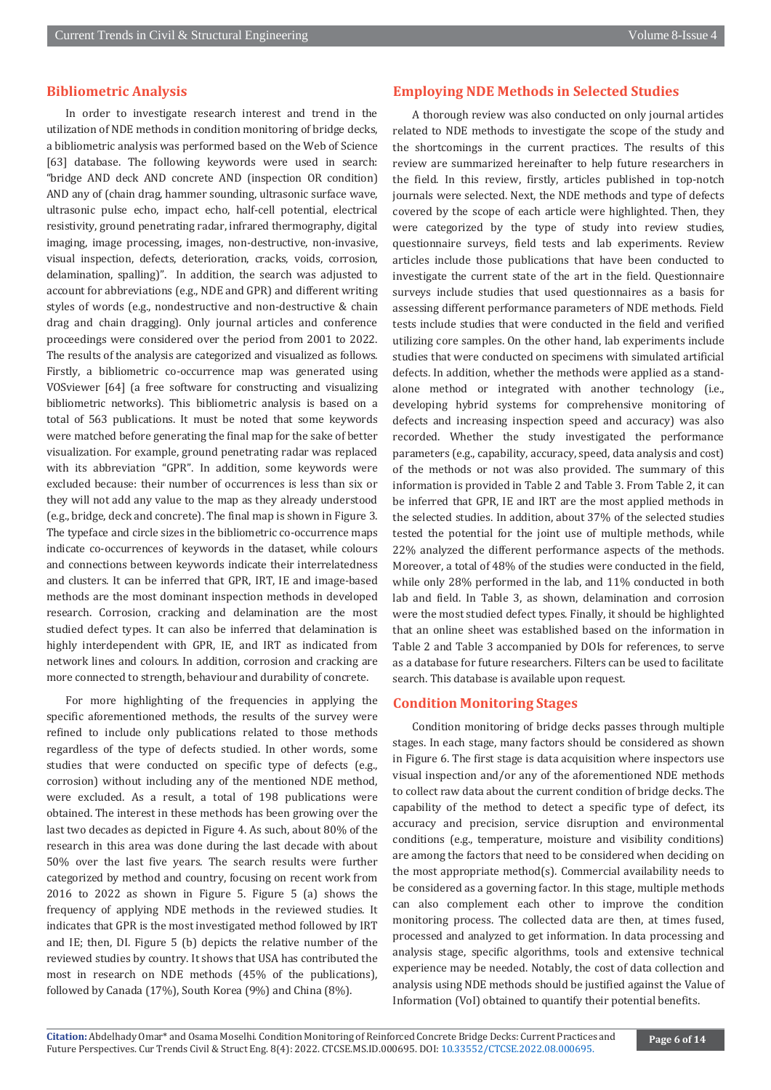#### **Bibliometric Analysis**

In order to investigate research interest and trend in the utilization of NDE methods in condition monitoring of bridge decks, a bibliometric analysis was performed based on the Web of Science [63] database. The following keywords were used in search: "bridge AND deck AND concrete AND (inspection OR condition) AND any of (chain drag, hammer sounding, ultrasonic surface wave, ultrasonic pulse echo, impact echo, half-cell potential, electrical resistivity, ground penetrating radar, infrared thermography, digital imaging, image processing, images, non-destructive, non-invasive, visual inspection, defects, deterioration, cracks, voids, corrosion, delamination, spalling)". In addition, the search was adjusted to account for abbreviations (e.g., NDE and GPR) and different writing styles of words (e.g., nondestructive and non-destructive & chain drag and chain dragging). Only journal articles and conference proceedings were considered over the period from 2001 to 2022. The results of the analysis are categorized and visualized as follows. Firstly, a bibliometric co-occurrence map was generated using VOSviewer [64] (a free software for constructing and visualizing bibliometric networks). This bibliometric analysis is based on a total of 563 publications. It must be noted that some keywords were matched before generating the final map for the sake of better visualization. For example, ground penetrating radar was replaced with its abbreviation "GPR". In addition, some keywords were excluded because: their number of occurrences is less than six or they will not add any value to the map as they already understood (e.g., bridge, deck and concrete). The final map is shown in Figure 3. The typeface and circle sizes in the bibliometric co-occurrence maps indicate co-occurrences of keywords in the dataset, while colours and connections between keywords indicate their interrelatedness and clusters. It can be inferred that GPR, IRT, IE and image-based methods are the most dominant inspection methods in developed research. Corrosion, cracking and delamination are the most studied defect types. It can also be inferred that delamination is highly interdependent with GPR, IE, and IRT as indicated from network lines and colours. In addition, corrosion and cracking are more connected to strength, behaviour and durability of concrete.

For more highlighting of the frequencies in applying the specific aforementioned methods, the results of the survey were refined to include only publications related to those methods regardless of the type of defects studied. In other words, some studies that were conducted on specific type of defects (e.g., corrosion) without including any of the mentioned NDE method, were excluded. As a result, a total of 198 publications were obtained. The interest in these methods has been growing over the last two decades as depicted in Figure 4. As such, about 80% of the research in this area was done during the last decade with about 50% over the last five years. The search results were further categorized by method and country, focusing on recent work from 2016 to 2022 as shown in Figure 5. Figure 5 (a) shows the frequency of applying NDE methods in the reviewed studies. It indicates that GPR is the most investigated method followed by IRT and IE; then, DI. Figure 5 (b) depicts the relative number of the reviewed studies by country. It shows that USA has contributed the most in research on NDE methods (45% of the publications), followed by Canada (17%), South Korea (9%) and China (8%).

#### **Employing NDE Methods in Selected Studies**

A thorough review was also conducted on only journal articles related to NDE methods to investigate the scope of the study and the shortcomings in the current practices. The results of this review are summarized hereinafter to help future researchers in the field. In this review, firstly, articles published in top-notch journals were selected. Next, the NDE methods and type of defects covered by the scope of each article were highlighted. Then, they were categorized by the type of study into review studies, questionnaire surveys, field tests and lab experiments. Review articles include those publications that have been conducted to investigate the current state of the art in the field. Questionnaire surveys include studies that used questionnaires as a basis for assessing different performance parameters of NDE methods. Field tests include studies that were conducted in the field and verified utilizing core samples. On the other hand, lab experiments include studies that were conducted on specimens with simulated artificial defects. In addition, whether the methods were applied as a standalone method or integrated with another technology (i.e., developing hybrid systems for comprehensive monitoring of defects and increasing inspection speed and accuracy) was also recorded. Whether the study investigated the performance parameters (e.g., capability, accuracy, speed, data analysis and cost) of the methods or not was also provided. The summary of this information is provided in Table 2 and Table 3. From Table 2, it can be inferred that GPR, IE and IRT are the most applied methods in the selected studies. In addition, about 37% of the selected studies tested the potential for the joint use of multiple methods, while 22% analyzed the different performance aspects of the methods. Moreover, a total of 48% of the studies were conducted in the field, while only 28% performed in the lab, and 11% conducted in both lab and field. In Table 3, as shown, delamination and corrosion were the most studied defect types. Finally, it should be highlighted that an online sheet was established based on the information in Table 2 and Table 3 accompanied by DOIs for references, to serve as a database for future researchers. Filters can be used to facilitate search. This database is available upon request.

#### **Condition Monitoring Stages**

Condition monitoring of bridge decks passes through multiple stages. In each stage, many factors should be considered as shown in Figure 6. The first stage is data acquisition where inspectors use visual inspection and/or any of the aforementioned NDE methods to collect raw data about the current condition of bridge decks. The capability of the method to detect a specific type of defect, its accuracy and precision, service disruption and environmental conditions (e.g., temperature, moisture and visibility conditions) are among the factors that need to be considered when deciding on the most appropriate method(s). Commercial availability needs to be considered as a governing factor. In this stage, multiple methods can also complement each other to improve the condition monitoring process. The collected data are then, at times fused, processed and analyzed to get information. In data processing and analysis stage, specific algorithms, tools and extensive technical experience may be needed. Notably, the cost of data collection and analysis using NDE methods should be justified against the Value of Information (VoI) obtained to quantify their potential benefits.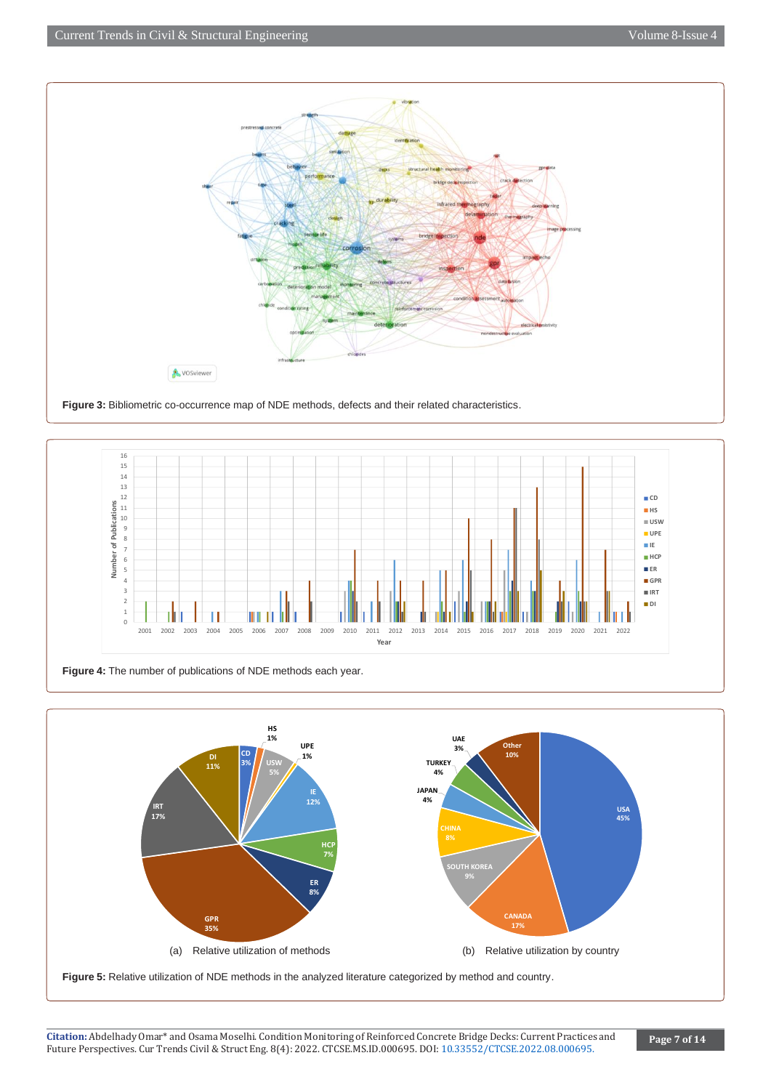



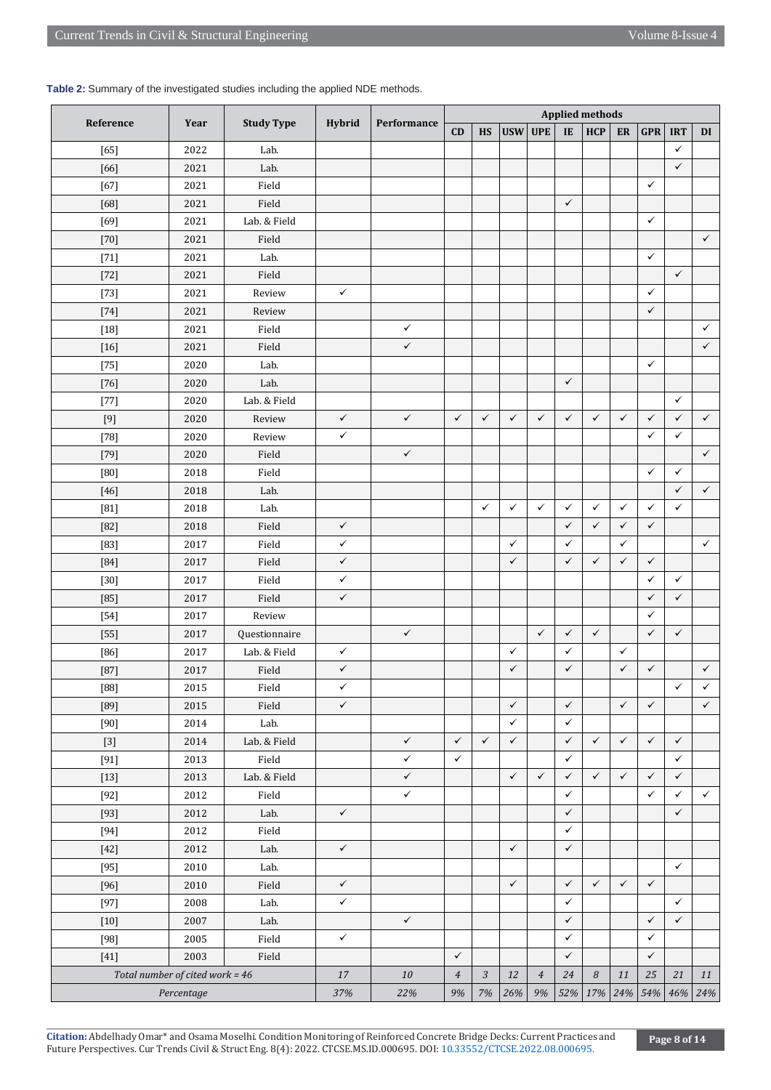### **Table 2:** Summary of the investigated studies including the applied NDE methods.

| Performance                                                                                                                                                  | <b>Applied methods</b> |              |              |              |  |  |
|--------------------------------------------------------------------------------------------------------------------------------------------------------------|------------------------|--------------|--------------|--------------|--|--|
| <b>Hybrid</b><br>Reference<br><b>Study Type</b><br>Year<br><b>USW</b><br><b>UPE</b><br>CD<br><b>HS</b><br>IE<br><b>HCP</b>                                   | ER                     | <b>GPR</b>   | <b>IRT</b>   | DI           |  |  |
| 2022<br>Lab.<br>$[65]$                                                                                                                                       |                        |              | $\checkmark$ |              |  |  |
| Lab.<br>2021<br>$[66]$                                                                                                                                       |                        |              | $\checkmark$ |              |  |  |
| $[67]$<br>2021<br>Field                                                                                                                                      |                        | $\checkmark$ |              |              |  |  |
| $\checkmark$<br>Field<br>$[68]$<br>2021                                                                                                                      |                        |              |              |              |  |  |
| Lab. & Field<br>$[69]$<br>2021                                                                                                                               |                        | $\checkmark$ |              |              |  |  |
| $[70]$<br>2021<br>Field                                                                                                                                      |                        |              |              | $\checkmark$ |  |  |
| 2021<br>Lab.<br>$[71]$                                                                                                                                       |                        | $\checkmark$ |              |              |  |  |
| 2021<br>Field<br>$[72]$                                                                                                                                      |                        |              | $\checkmark$ |              |  |  |
| 2021<br>$\checkmark$<br>$[73]$<br>Review                                                                                                                     |                        | $\checkmark$ |              |              |  |  |
| 2021<br>Review<br>$[74]$                                                                                                                                     |                        | $\checkmark$ |              |              |  |  |
| $\checkmark$<br>2021<br>Field<br>$[18]$                                                                                                                      |                        |              |              | $\checkmark$ |  |  |
| $\checkmark$<br>2021<br>Field<br>$[16]$                                                                                                                      |                        |              |              | $\checkmark$ |  |  |
| 2020<br>$[75]$<br>Lab.                                                                                                                                       |                        | $\checkmark$ |              |              |  |  |
| $\checkmark$<br>2020<br>Lab.<br>$[76]$                                                                                                                       |                        |              |              |              |  |  |
| Lab. & Field<br>2020<br>$[77]$                                                                                                                               |                        |              | $\checkmark$ |              |  |  |
| $\checkmark$<br>$\checkmark$<br>$\checkmark$<br>$\checkmark$<br>$\checkmark$<br>$\checkmark$<br>$\checkmark$<br>$\checkmark$<br>$[9]$<br>2020<br>Review      | $\checkmark$           | $\checkmark$ | $\checkmark$ | $\checkmark$ |  |  |
| $\checkmark$<br>$[78]$<br>2020<br>Review                                                                                                                     |                        | $\checkmark$ | $\checkmark$ |              |  |  |
| $\checkmark$<br>2020<br>Field<br>$[79]$                                                                                                                      |                        |              |              | $\checkmark$ |  |  |
| $[80]$<br>2018<br>Field                                                                                                                                      |                        | $\checkmark$ | $\checkmark$ |              |  |  |
| 2018<br>Lab.<br>$[46]$                                                                                                                                       |                        |              | $\checkmark$ | $\checkmark$ |  |  |
| $\checkmark$<br>$\checkmark$<br>$\checkmark$<br>$\checkmark$<br>$\checkmark$<br>2018<br>Lab.<br>$[81]$                                                       | ✓                      | $\checkmark$ | $\checkmark$ |              |  |  |
| $\checkmark$<br>$\checkmark$<br>$[82]$<br>2018<br>Field<br>$\checkmark$                                                                                      | ✓                      | $\checkmark$ |              |              |  |  |
| $\checkmark$<br>$\checkmark$<br>$\checkmark$<br>$[83]$<br>2017<br>Field                                                                                      | $\checkmark$           |              |              | $\checkmark$ |  |  |
| $\checkmark$<br>$\checkmark$<br>$\checkmark$<br>$\checkmark$<br>$[84]$<br>2017<br>Field                                                                      | $\checkmark$           | $\checkmark$ |              |              |  |  |
| 2017<br>Field<br>✓<br>$[30]$                                                                                                                                 |                        | $\checkmark$ | $\checkmark$ |              |  |  |
| $\checkmark$<br>$[85]$<br>2017<br>Field                                                                                                                      |                        | $\checkmark$ | $\checkmark$ |              |  |  |
| 2017<br>Review<br>$[54]$                                                                                                                                     |                        | $\checkmark$ |              |              |  |  |
| $\checkmark$<br>$\checkmark$<br>$\checkmark$<br>2017<br>Questionnaire<br>$\checkmark$<br>$[55]$                                                              |                        | $\checkmark$ | $\checkmark$ |              |  |  |
| Lab. & Field<br>$[86]$<br>2017<br>✓<br>✓<br>✓                                                                                                                | ✓                      |              |              |              |  |  |
| $\checkmark$<br>$\checkmark$<br>$\checkmark$<br>$[87]$<br>2017<br>Field                                                                                      | $\checkmark$           | $\checkmark$ |              | $\checkmark$ |  |  |
| $[88]$<br>2015<br>Field<br>✓                                                                                                                                 |                        |              | $\checkmark$ | $\checkmark$ |  |  |
| $\checkmark$<br>$\checkmark$<br>$\checkmark$<br>$[89]$<br>2015<br>Field                                                                                      | $\checkmark$           | $\checkmark$ |              | $\checkmark$ |  |  |
| $\checkmark$<br>$\checkmark$<br>2014<br>Lab.<br>$[90]$                                                                                                       |                        |              |              |              |  |  |
| $\checkmark$<br>$\checkmark$<br>$\checkmark$<br>$\checkmark$<br>$\checkmark$<br>$\checkmark$<br>Lab. & Field<br>2014<br>$[3]$                                | $\checkmark$           | $\checkmark$ | $\checkmark$ |              |  |  |
| ✓<br>$\checkmark$<br>$\checkmark$<br>[91]<br>2013<br>Field                                                                                                   |                        |              | $\checkmark$ |              |  |  |
| $\checkmark$<br>$\checkmark$<br>$\checkmark$<br>$\checkmark$<br>$\checkmark$<br>Lab. & Field<br>$[13]$<br>2013                                               | $\checkmark$           | $\checkmark$ | $\checkmark$ |              |  |  |
| $\checkmark$<br>$\checkmark$<br>Field<br>$[92]$<br>2012                                                                                                      |                        | $\checkmark$ | $\checkmark$ | $\checkmark$ |  |  |
| $\checkmark$<br>$\checkmark$<br>$[93]$<br>2012<br>Lab.                                                                                                       |                        |              | $\checkmark$ |              |  |  |
| 2012<br>$\checkmark$<br>$[94]$<br>Field                                                                                                                      |                        |              |              |              |  |  |
| $\checkmark$<br>$\checkmark$<br>$\checkmark$<br>Lab.<br>$[42]$<br>2012                                                                                       |                        |              |              |              |  |  |
| Lab.<br>2010<br>$[95]$                                                                                                                                       |                        |              | $\checkmark$ |              |  |  |
| $\checkmark$<br>$\checkmark$<br>$\checkmark$<br>$\checkmark$<br>$[96]$<br>2010<br>Field                                                                      | $\checkmark$           | $\checkmark$ |              |              |  |  |
| $\checkmark$<br>$\checkmark$<br>$[97]$<br>2008<br>Lab.                                                                                                       |                        |              | $\checkmark$ |              |  |  |
| $\checkmark$<br>$\checkmark$<br>2007<br>Lab.<br>$[10]$                                                                                                       |                        | $\checkmark$ | $\checkmark$ |              |  |  |
| $\checkmark$<br>$[98]$<br>2005<br>Field<br>$\checkmark$                                                                                                      |                        | $\checkmark$ |              |              |  |  |
| $\checkmark$<br>$\checkmark$<br>2003<br>Field<br>$[41]$                                                                                                      |                        | $\checkmark$ |              |              |  |  |
| Total number of cited work = $46$<br>$17\,$<br>$10\,$<br>$\mathfrak{Z}$<br>$12\,$<br>$\mathfrak{24}$<br>$\boldsymbol{8}$<br>$\overline{4}$<br>$\overline{4}$ | 11                     | 25           | 21           | 11           |  |  |
| $7\%$<br>52% 17% 24%<br>Percentage<br>37%<br>22%<br>9%<br>26%<br>9%                                                                                          |                        | 54%          | 46%          | 24%          |  |  |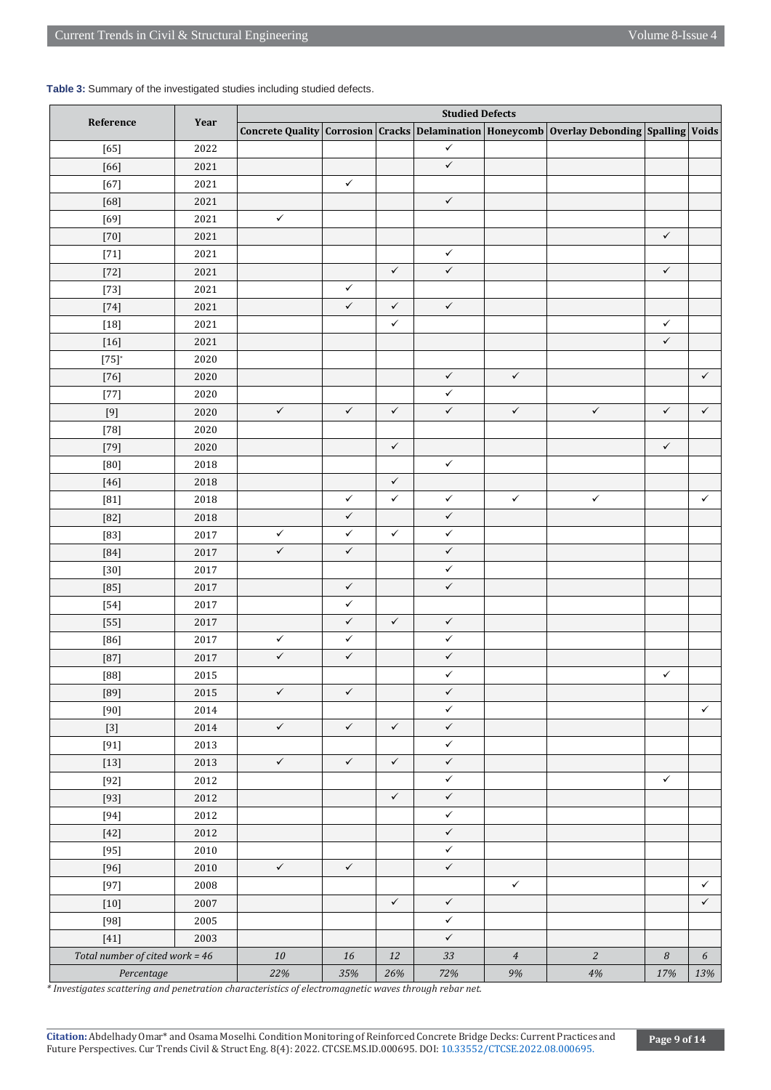| Table 3: Summary of the investigated studies including studied defects. |  |  |  |  |  |  |
|-------------------------------------------------------------------------|--|--|--|--|--|--|
|-------------------------------------------------------------------------|--|--|--|--|--|--|

|                                   |          | <b>Studied Defects</b> |              |              |              |                |                                                                                           |                  |              |
|-----------------------------------|----------|------------------------|--------------|--------------|--------------|----------------|-------------------------------------------------------------------------------------------|------------------|--------------|
| Reference                         | Year     |                        |              |              |              |                | Concrete Quality Corrosion Cracks Delamination Honeycomb Overlay Debonding Spalling Voids |                  |              |
| $[65]$                            | 2022     |                        |              |              | $\checkmark$ |                |                                                                                           |                  |              |
| $[66]$                            | 2021     |                        |              |              | $\checkmark$ |                |                                                                                           |                  |              |
| $[67]$                            | 2021     |                        | $\checkmark$ |              |              |                |                                                                                           |                  |              |
| $[68]$                            | 2021     |                        |              |              | $\checkmark$ |                |                                                                                           |                  |              |
| $[69]$                            | 2021     | $\checkmark$           |              |              |              |                |                                                                                           |                  |              |
| $[70]$                            | 2021     |                        |              |              |              |                |                                                                                           | $\checkmark$     |              |
| $[71]$                            | 2021     |                        |              |              | $\checkmark$ |                |                                                                                           |                  |              |
| $[72]$                            | 2021     |                        |              | $\checkmark$ | $\checkmark$ |                |                                                                                           | $\checkmark$     |              |
| $[73]$                            | 2021     |                        | $\checkmark$ |              |              |                |                                                                                           |                  |              |
| $[74]$                            | 2021     |                        | $\checkmark$ | $\checkmark$ | $\checkmark$ |                |                                                                                           |                  |              |
| $[18]$                            | 2021     |                        |              | $\checkmark$ |              |                |                                                                                           | $\checkmark$     |              |
| $[16]$                            | 2021     |                        |              |              |              |                |                                                                                           | $\checkmark$     |              |
| $[75]^*$                          | 2020     |                        |              |              |              |                |                                                                                           |                  |              |
| $[76]$                            | 2020     |                        |              |              | $\checkmark$ | $\checkmark$   |                                                                                           |                  | $\checkmark$ |
| $[77]$                            | 2020     |                        |              |              | $\checkmark$ |                |                                                                                           |                  |              |
| $[9]$                             | 2020     | $\checkmark$           | $\checkmark$ | $\checkmark$ | $\checkmark$ | $\checkmark$   | $\checkmark$                                                                              | $\checkmark$     | $\checkmark$ |
| $[78]$                            | 2020     |                        |              |              |              |                |                                                                                           |                  |              |
| $[79]$                            | 2020     |                        |              | $\checkmark$ |              |                |                                                                                           | $\checkmark$     |              |
| [80]                              | 2018     |                        |              |              | $\checkmark$ |                |                                                                                           |                  |              |
| $[46]$                            | 2018     |                        |              | $\checkmark$ |              |                |                                                                                           |                  |              |
| $[81]$                            | 2018     |                        | $\checkmark$ | $\checkmark$ | $\checkmark$ | $\checkmark$   | $\checkmark$                                                                              |                  | $\checkmark$ |
| $[82]$                            | 2018     |                        | $\checkmark$ |              | $\checkmark$ |                |                                                                                           |                  |              |
| $[83]$                            | 2017     | $\checkmark$           | $\checkmark$ | $\checkmark$ | $\checkmark$ |                |                                                                                           |                  |              |
| $[84]$                            | 2017     | $\checkmark$           | $\checkmark$ |              | $\checkmark$ |                |                                                                                           |                  |              |
| $[30]$                            | 2017     |                        |              |              | $\checkmark$ |                |                                                                                           |                  |              |
| $[85]$                            | 2017     |                        | $\checkmark$ |              | $\checkmark$ |                |                                                                                           |                  |              |
| $[54]$                            | 2017     |                        | $\checkmark$ |              |              |                |                                                                                           |                  |              |
| $[55]$                            | 2017     |                        | $\checkmark$ | $\checkmark$ | $\checkmark$ |                |                                                                                           |                  |              |
| $[86]$                            | 2017     | $\checkmark$           | $\checkmark$ |              | $\checkmark$ |                |                                                                                           |                  |              |
| $[87]$                            | 2017     | $\checkmark$           | $\checkmark$ |              | $\checkmark$ |                |                                                                                           |                  |              |
| $[88]$                            | 2015     |                        |              |              | $\checkmark$ |                |                                                                                           | $\checkmark$     |              |
| $[89]$                            | 2015     | $\checkmark$           | $\checkmark$ |              | $\checkmark$ |                |                                                                                           |                  |              |
| $[90]$                            | 2014     |                        |              |              | $\checkmark$ |                |                                                                                           |                  | $\checkmark$ |
| $[3]$                             | 2014     | $\checkmark$           | $\checkmark$ | $\checkmark$ | $\checkmark$ |                |                                                                                           |                  |              |
| $[91]$                            | 2013     |                        |              |              | $\checkmark$ |                |                                                                                           |                  |              |
| $[13]$                            | 2013     | $\checkmark$           | $\checkmark$ | $\checkmark$ | $\checkmark$ |                |                                                                                           |                  |              |
| $[92]$                            | 2012     |                        |              |              | $\checkmark$ |                |                                                                                           | $\checkmark$     |              |
| $[93]$                            | 2012     |                        |              | $\checkmark$ | $\checkmark$ |                |                                                                                           |                  |              |
| $[94]$                            | 2012     |                        |              |              | $\checkmark$ |                |                                                                                           |                  |              |
| $[42]$                            | 2012     |                        |              |              | $\checkmark$ |                |                                                                                           |                  |              |
| $[95]$                            | 2010     |                        |              |              | $\checkmark$ |                |                                                                                           |                  |              |
| $[96]$                            | $2010\,$ | $\checkmark$           | $\checkmark$ |              | $\checkmark$ |                |                                                                                           |                  |              |
| $[97]$                            | 2008     |                        |              |              |              | $\checkmark$   |                                                                                           |                  | $\checkmark$ |
| $[10]$                            | 2007     |                        |              | $\checkmark$ | $\checkmark$ |                |                                                                                           |                  | $\checkmark$ |
| $[98]$                            | 2005     |                        |              |              | $\checkmark$ |                |                                                                                           |                  |              |
| $[41]$                            | 2003     |                        |              |              | $\checkmark$ |                |                                                                                           |                  |              |
| Total number of cited work = $46$ |          | 10                     | 16           | $12\,$       | 33           | $\overline{4}$ | $\mathfrak{2}$                                                                            | $\boldsymbol{8}$ | 6            |
| Percentage                        |          | 22%                    | $35\%$       | 26%          | 72%          | 9%             | $4\%$                                                                                     | 17%              | 13%          |

*\* Investigates scattering and penetration characteristics of electromagnetic waves through rebar net.*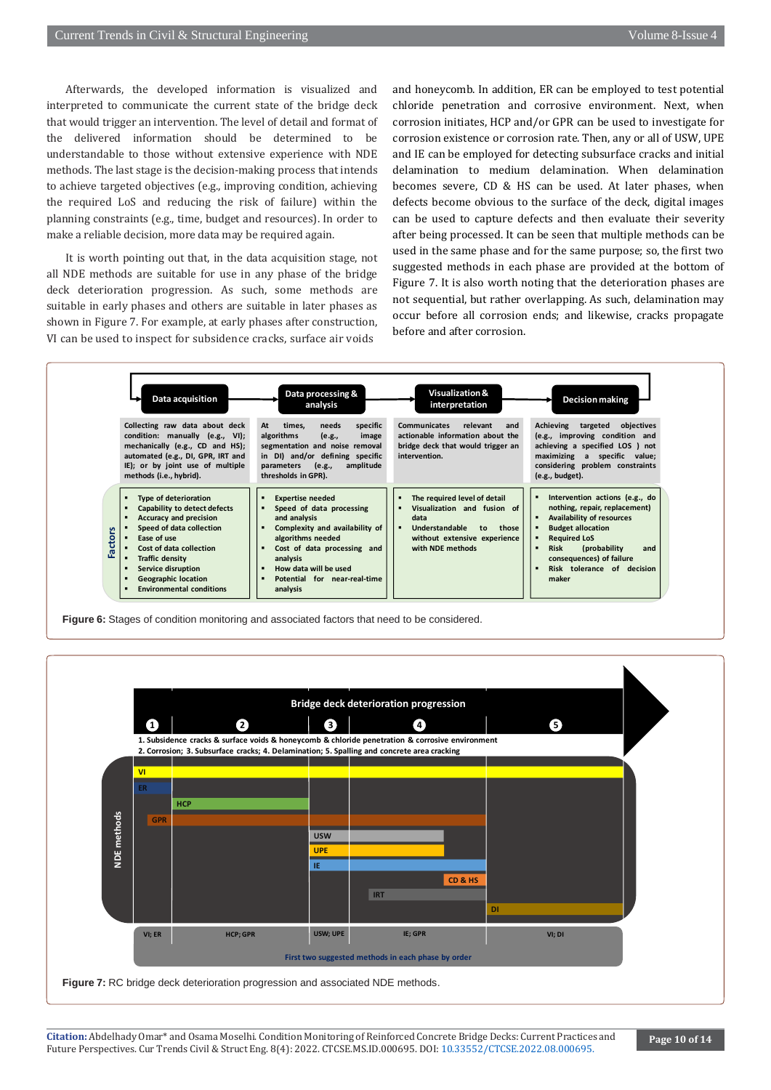Afterwards, the developed information is visualized and interpreted to communicate the current state of the bridge deck that would trigger an intervention. The level of detail and format of the delivered information should be determined to be understandable to those without extensive experience with NDE methods. The last stage is the decision-making process that intends to achieve targeted objectives (e.g., improving condition, achieving the required LoS and reducing the risk of failure) within the planning constraints (e.g., time, budget and resources). In order to make a reliable decision, more data may be required again.

It is worth pointing out that, in the data acquisition stage, not all NDE methods are suitable for use in any phase of the bridge deck deterioration progression. As such, some methods are suitable in early phases and others are suitable in later phases as shown in Figure 7. For example, at early phases after construction, VI can be used to inspect for subsidence cracks, surface air voids

and honeycomb. In addition, ER can be employed to test potential chloride penetration and corrosive environment. Next, when corrosion initiates, HCP and/or GPR can be used to investigate for corrosion existence or corrosion rate. Then, any or all of USW, UPE and IE can be employed for detecting subsurface cracks and initial delamination to medium delamination. When delamination becomes severe, CD & HS can be used. At later phases, when defects become obvious to the surface of the deck, digital images can be used to capture defects and then evaluate their severity after being processed. It can be seen that multiple methods can be used in the same phase and for the same purpose; so, the first two suggested methods in each phase are provided at the bottom of Figure 7. It is also worth noting that the deterioration phases are not sequential, but rather overlapping. As such, delamination may occur before all corrosion ends; and likewise, cracks propagate before and after corrosion.



**Figure 6:** Stages of condition monitoring and associated factors that need to be considered.

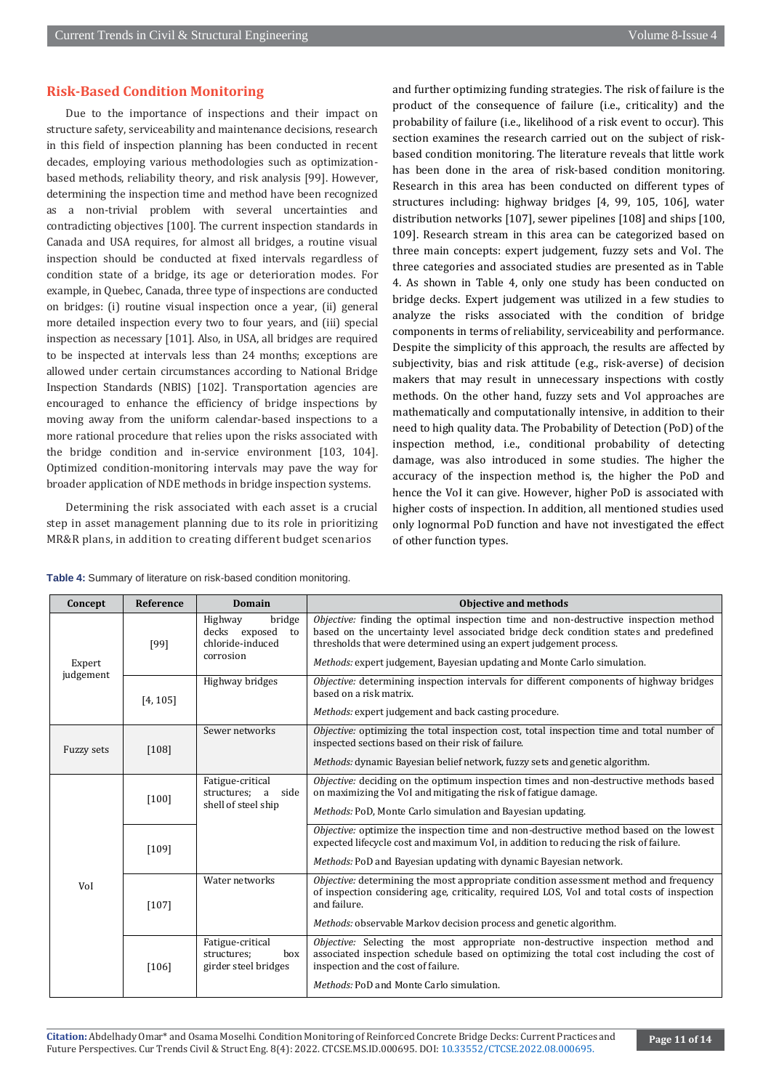#### **Risk-Based Condition Monitoring**

Due to the importance of inspections and their impact on structure safety, serviceability and maintenance decisions, research in this field of inspection planning has been conducted in recent decades, employing various methodologies such as optimizationbased methods, reliability theory, and risk analysis [99]. However, determining the inspection time and method have been recognized as a non-trivial problem with several uncertainties and contradicting objectives [100]. The current inspection standards in Canada and USA requires, for almost all bridges, a routine visual inspection should be conducted at fixed intervals regardless of condition state of a bridge, its age or deterioration modes. For example, in Quebec, Canada, three type of inspections are conducted on bridges: (i) routine visual inspection once a year, (ii) general more detailed inspection every two to four years, and (iii) special inspection as necessary [101]. Also, in USA, all bridges are required to be inspected at intervals less than 24 months; exceptions are allowed under certain circumstances according to National Bridge Inspection Standards (NBIS) [102]. Transportation agencies are encouraged to enhance the efficiency of bridge inspections by moving away from the uniform calendar-based inspections to a more rational procedure that relies upon the risks associated with the bridge condition and in-service environment [103, 104]. Optimized condition-monitoring intervals may pave the way for broader application of NDE methods in bridge inspection systems.

Determining the risk associated with each asset is a crucial step in asset management planning due to its role in prioritizing MR&R plans, in addition to creating different budget scenarios

and further optimizing funding strategies. The risk of failure is the product of the consequence of failure (i.e., criticality) and the probability of failure (i.e., likelihood of a risk event to occur). This section examines the research carried out on the subject of riskbased condition monitoring. The literature reveals that little work has been done in the area of risk-based condition monitoring. Research in this area has been conducted on different types of structures including: highway bridges [4, 99, 105, 106], water distribution networks [107], sewer pipelines [108] and ships [100, 109]. Research stream in this area can be categorized based on three main concepts: expert judgement, fuzzy sets and VoI. The three categories and associated studies are presented as in Table 4. As shown in Table 4, only one study has been conducted on bridge decks. Expert judgement was utilized in a few studies to analyze the risks associated with the condition of bridge components in terms of reliability, serviceability and performance. Despite the simplicity of this approach, the results are affected by subjectivity, bias and risk attitude (e.g., risk-averse) of decision makers that may result in unnecessary inspections with costly methods. On the other hand, fuzzy sets and VoI approaches are mathematically and computationally intensive, in addition to their need to high quality data. The Probability of Detection (PoD) of the inspection method, i.e., conditional probability of detecting damage, was also introduced in some studies. The higher the accuracy of the inspection method is, the higher the PoD and hence the VoI it can give. However, higher PoD is associated with higher costs of inspection. In addition, all mentioned studies used only lognormal PoD function and have not investigated the effect of other function types.

|  | Table 4: Summary of literature on risk-based condition monitoring. |  |  |  |  |
|--|--------------------------------------------------------------------|--|--|--|--|
|--|--------------------------------------------------------------------|--|--|--|--|

| Concept                                       | <b>Reference</b> | Domain                                                                    | Objective and methods                                                                                                                                                                                                                                      |
|-----------------------------------------------|------------------|---------------------------------------------------------------------------|------------------------------------------------------------------------------------------------------------------------------------------------------------------------------------------------------------------------------------------------------------|
|                                               | [99]             | Highway<br>bridge<br>decks exposed<br>to<br>chloride-induced<br>corrosion | <i>Objective:</i> finding the optimal inspection time and non-destructive inspection method<br>based on the uncertainty level associated bridge deck condition states and predefined<br>thresholds that were determined using an expert judgement process. |
| Expert                                        |                  |                                                                           | <i>Methods:</i> expert judgement, Bayesian updating and Monte Carlo simulation.                                                                                                                                                                            |
| judgement                                     | [4, 105]         | Highway bridges                                                           | Objective: determining inspection intervals for different components of highway bridges<br>based on a risk matrix.                                                                                                                                         |
|                                               |                  |                                                                           | Methods: expert judgement and back casting procedure.                                                                                                                                                                                                      |
| <b>Fuzzy sets</b>                             | $[108]$          | Sewer networks                                                            | Objective: optimizing the total inspection cost, total inspection time and total number of<br>inspected sections based on their risk of failure.                                                                                                           |
|                                               |                  |                                                                           | Methods: dynamic Bayesian belief network, fuzzy sets and genetic algorithm.                                                                                                                                                                                |
| $[100]$<br>[109]<br>Vol<br>$[107]$<br>$[106]$ |                  | Fatigue-critical<br>structures; a<br>side                                 | <i>Objective:</i> deciding on the optimum inspection times and non-destructive methods based<br>on maximizing the VoI and mitigating the risk of fatigue damage.                                                                                           |
|                                               |                  | shell of steel ship                                                       | Methods: PoD, Monte Carlo simulation and Bayesian updating.                                                                                                                                                                                                |
|                                               |                  |                                                                           | Objective: optimize the inspection time and non-destructive method based on the lowest<br>expected lifecycle cost and maximum Vol, in addition to reducing the risk of failure.                                                                            |
|                                               |                  | Methods: PoD and Bayesian updating with dynamic Bayesian network.         |                                                                                                                                                                                                                                                            |
|                                               |                  | Water networks                                                            | Objective: determining the most appropriate condition assessment method and frequency<br>of inspection considering age, criticality, required LOS, VoI and total costs of inspection<br>and failure.                                                       |
|                                               |                  |                                                                           | Methods: observable Markov decision process and genetic algorithm.                                                                                                                                                                                         |
|                                               |                  | Fatigue-critical<br>structures:<br>box<br>girder steel bridges            | Objective: Selecting the most appropriate non-destructive inspection method and<br>associated inspection schedule based on optimizing the total cost including the cost of<br>inspection and the cost of failure.                                          |
|                                               |                  |                                                                           | Methods: PoD and Monte Carlo simulation.                                                                                                                                                                                                                   |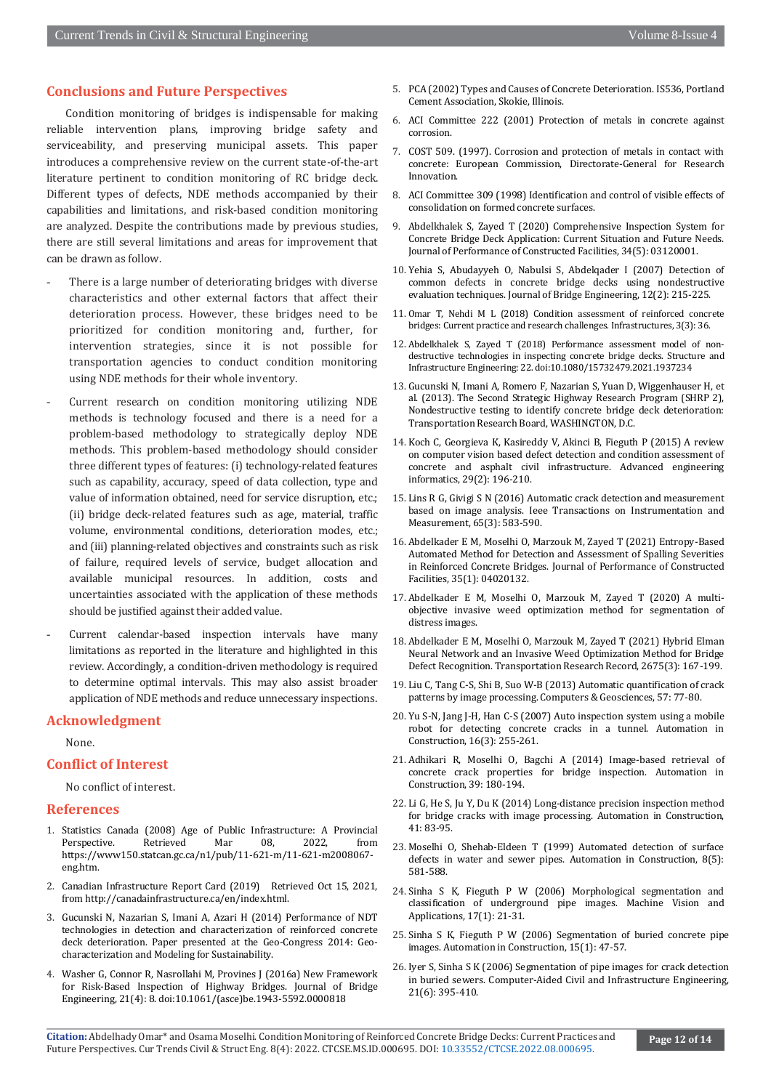#### **Conclusions and Future Perspectives**

Condition monitoring of bridges is indispensable for making reliable intervention plans, improving bridge safety and serviceability, and preserving municipal assets. This paper introduces a comprehensive review on the current state-of-the-art literature pertinent to condition monitoring of RC bridge deck. Different types of defects, NDE methods accompanied by their capabilities and limitations, and risk-based condition monitoring are analyzed. Despite the contributions made by previous studies, there are still several limitations and areas for improvement that can be drawn as follow.

- There is a large number of deteriorating bridges with diverse characteristics and other external factors that affect their deterioration process. However, these bridges need to be prioritized for condition monitoring and, further, for intervention strategies, since it is not possible for transportation agencies to conduct condition monitoring using NDE methods for their whole inventory.
- Current research on condition monitoring utilizing NDE methods is technology focused and there is a need for a problem-based methodology to strategically deploy NDE methods. This problem-based methodology should consider three different types of features: (i) technology-related features such as capability, accuracy, speed of data collection, type and value of information obtained, need for service disruption, etc.; (ii) bridge deck-related features such as age, material, traffic volume, environmental conditions, deterioration modes, etc.; and (iii) planning-related objectives and constraints such as risk of failure, required levels of service, budget allocation and available municipal resources. In addition, costs and uncertainties associated with the application of these methods should be justified against their added value.
- Current calendar-based inspection intervals have many limitations as reported in the literature and highlighted in this review. Accordingly, a condition-driven methodology is required to determine optimal intervals. This may also assist broader application of NDE methods and reduce unnecessary inspections.

#### **Acknowledgment**

None.

#### **Conflict of Interest**

No conflict of interest.

#### **References**

- 1. Statistics Canada (2008) Age of Public Infrastructure: A Provincial Perspective. Retrieved Mar 08, 2022, from https://www150.statcan.gc.ca/n1/pub/11-621-m/11-621-m2008067 eng.htm.
- 2. Canadian Infrastructure Report Card (2019) Retrieved Oct 15, 2021, from http://canadainfrastructure.ca/en/index.html.
- 3. Gucunski N, Nazarian S, Imani A, Azari H (2014) Performance of NDT technologies in detection and characterization of reinforced concrete deck deterioration. Paper presented at the Geo-Congress 2014: Geocharacterization and Modeling for Sustainability.
- 4. Washer G, Connor R, Nasrollahi M, Provines J (2016a) New Framework for Risk-Based Inspection of Highway Bridges. Journal of Bridge Engineering, 21(4): 8. doi:10.1061/(asce)be.1943-5592.0000818
- 5. PCA (2002) Types and Causes of Concrete Deterioration. IS536, Portland Cement Association, Skokie, Illinois.
- 6. ACI Committee 222 (2001) Protection of metals in concrete against corrosion.
- 7. COST 509. (1997). Corrosion and protection of metals in contact with concrete: European Commission, Directorate-General for Research Innovation.
- 8. ACI Committee 309 (1998) Identification and control of visible effects of consolidation on formed concrete surfaces.
- 9. Abdelkhalek S, Zayed T (2020) Comprehensive Inspection System for Concrete Bridge Deck Application: Current Situation and Future Needs. Journal of Performance of Constructed Facilities, 34(5): 03120001.
- 10. Yehia S, Abudayyeh O, Nabulsi S, Abdelqader I (2007) Detection of common defects in concrete bridge decks using nondestructive evaluation techniques. Journal of Bridge Engineering, 12(2): 215-225.
- 11. Omar T, Nehdi M L (2018) Condition assessment of reinforced concrete bridges: Current practice and research challenges. Infrastructures, 3(3): 36.
- 12. Abdelkhalek S, Zayed T (2018) Performance assessment model of nondestructive technologies in inspecting concrete bridge decks. Structure and Infrastructure Engineering: 22. doi:10.1080/15732479.2021.1937234
- 13. Gucunski N, Imani A, Romero F, Nazarian S, Yuan D, Wiggenhauser H, et al. (2013). The Second Strategic Highway Research Program (SHRP 2), Nondestructive testing to identify concrete bridge deck deterioration: Transportation Research Board, WASHINGTON, D.C.
- 14. Koch C, Georgieva K, Kasireddy V, Akinci B, Fieguth P (2015) A review on computer vision based defect detection and condition assessment of concrete and asphalt civil infrastructure. Advanced engineering informatics, 29(2): 196-210.
- 15. Lins R G, Givigi S N (2016) Automatic crack detection and measurement based on image analysis. Ieee Transactions on Instrumentation and Measurement, 65(3): 583-590.
- 16. Abdelkader E M, Moselhi O, Marzouk M, Zayed T (2021) Entropy-Based Automated Method for Detection and Assessment of Spalling Severities in Reinforced Concrete Bridges. Journal of Performance of Constructed Facilities, 35(1): 04020132.
- 17. Abdelkader E M, Moselhi O, Marzouk M, Zayed T (2020) A multiobjective invasive weed optimization method for segmentation of distress images.
- 18. Abdelkader E M, Moselhi O, Marzouk M, Zayed T (2021) Hybrid Elman Neural Network and an Invasive Weed Optimization Method for Bridge Defect Recognition. Transportation Research Record, 2675(3): 167-199.
- 19. Liu C, Tang C-S, Shi B, Suo W-B (2013) Automatic quantification of crack patterns by image processing. Computers & Geosciences, 57: 77-80.
- 20. Yu S-N, Jang J-H, Han C-S (2007) Auto inspection system using a mobile robot for detecting concrete cracks in a tunnel. Automation in Construction, 16(3): 255-261.
- 21. Adhikari R, Moselhi O, Bagchi A (2014) Image-based retrieval of concrete crack properties for bridge inspection. Automation in Construction, 39: 180-194.
- 22. Li G, He S, Ju Y, Du K (2014) Long-distance precision inspection method for bridge cracks with image processing. Automation in Construction, 41: 83-95.
- 23. Moselhi O, Shehab-Eldeen T (1999) Automated detection of surface defects in water and sewer pipes. Automation in Construction, 8(5): 581-588.
- 24. Sinha S K, Fieguth P W (2006) Morphological segmentation and classification of underground pipe images. Machine Vision and Applications, 17(1): 21-31.
- 25. Sinha S K, Fieguth P W (2006) Segmentation of buried concrete pipe images. Automation in Construction, 15(1): 47-57.
- 26. Iyer S, Sinha S K (2006) Segmentation of pipe images for crack detection in buried sewers. Computer‐Aided Civil and Infrastructure Engineering, 21(6): 395-410.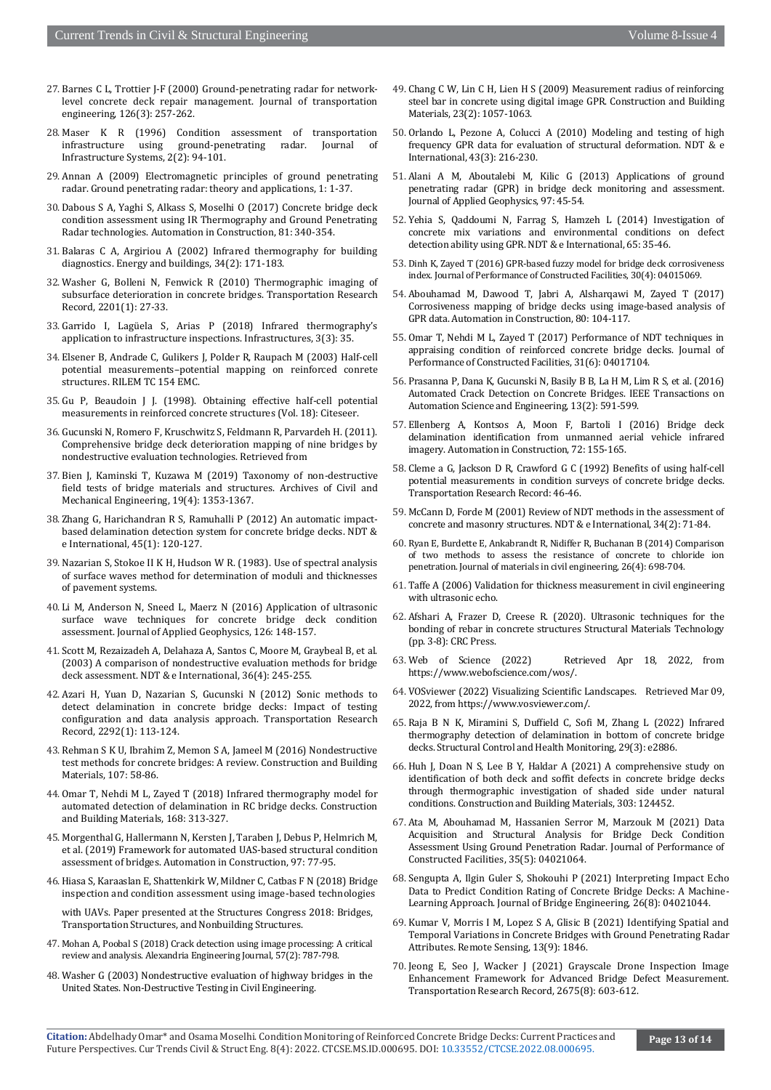- 27. Barnes C L, Trottier J-F (2000) Ground-penetrating radar for networklevel concrete deck repair management. Journal of transportation engineering, 126(3): 257-262.
- 28. Maser K R (1996) Condition assessment of transportation infrastructure using ground-penetrating radar. Journal of Infrastructure Systems, 2(2): 94-101.
- 29. Annan A (2009) Electromagnetic principles of ground penetrating radar. Ground penetrating radar: theory and applications, 1: 1-37.
- 30. Dabous S A, Yaghi S, Alkass S, Moselhi O (2017) Concrete bridge deck condition assessment using IR Thermography and Ground Penetrating Radar technologies. Automation in Construction, 81: 340-354.
- 31. Balaras C A, Argiriou A (2002) Infrared thermography for building diagnostics. Energy and buildings, 34(2): 171-183.
- 32. Washer G, Bolleni N, Fenwick R (2010) Thermographic imaging of subsurface deterioration in concrete bridges. Transportation Research Record, 2201(1): 27-33.
- 33. Garrido I, Lagüela S, Arias P (2018) Infrared thermography's application to infrastructure inspections. Infrastructures, 3(3): 35.
- 34. Elsener B, Andrade C, Gulikers J, Polder R, Raupach M (2003) Half-cell potential measurements–potential mapping on reinforced conrete structures. RILEM TC 154 EMC.
- 35. Gu P, Beaudoin J J. (1998). Obtaining effective half-cell potential measurements in reinforced concrete structures (Vol. 18): Citeseer.
- 36. Gucunski N, Romero F, Kruschwitz S, Feldmann R, Parvardeh H. (2011). Comprehensive bridge deck deterioration mapping of nine bridges by nondestructive evaluation technologies. Retrieved from
- 37. Bien J, Kaminski T, Kuzawa M (2019) Taxonomy of non-destructive field tests of bridge materials and structures. Archives of Civil and Mechanical Engineering, 19(4): 1353-1367.
- 38. Zhang G, Harichandran R S, Ramuhalli P (2012) An automatic impactbased delamination detection system for concrete bridge decks. NDT & e International, 45(1): 120-127.
- 39.Nazarian S, Stokoe II K H, Hudson W R. (1983). Use of spectral analysis of surface waves method for determination of moduli and thicknesses of pavement systems.
- 40. Li M, Anderson N, Sneed L, Maerz N (2016) Application of ultrasonic surface wave techniques for concrete bridge deck condition assessment. Journal of Applied Geophysics, 126: 148-157.
- 41. Scott M, Rezaizadeh A, Delahaza A, Santos C, Moore M, Graybeal B, et al. (2003) A comparison of nondestructive evaluation methods for bridge deck assessment. NDT & e International, 36(4): 245-255.
- 42. Azari H, Yuan D, Nazarian S, Gucunski N (2012) Sonic methods to detect delamination in concrete bridge decks: Impact of testing configuration and data analysis approach. Transportation Research Record, 2292(1): 113-124.
- 43. Rehman S K U, Ibrahim Z, Memon S A, Jameel M (2016) Nondestructive test methods for concrete bridges: A review. Construction and Building Materials, 107: 58-86.
- 44. Omar T, Nehdi M L, Zayed T (2018) Infrared thermography model for automated detection of delamination in RC bridge decks. Construction and Building Materials, 168: 313-327.
- 45. Morgenthal G, Hallermann N, Kersten J, Taraben J, Debus P, Helmrich M, et al. (2019) Framework for automated UAS-based structural condition assessment of bridges. Automation in Construction, 97: 77-95.
- 46. Hiasa S, Karaaslan E, Shattenkirk W, Mildner C, Catbas F N (2018) Bridge inspection and condition assessment using image-based technologies

with UAVs. Paper presented at the Structures Congress 2018: Bridges, Transportation Structures, and Nonbuilding Structures.

- 47. Mohan A, Poobal S (2018) Crack detection using image processing: A critical review and analysis. Alexandria Engineering Journal, 57(2): 787-798.
- 48. Washer G (2003) Nondestructive evaluation of highway bridges in the United States. Non-Destructive Testing in Civil Engineering.
- 49. Chang C W, Lin C H, Lien H S (2009) Measurement radius of reinforcing steel bar in concrete using digital image GPR. Construction and Building Materials, 23(2): 1057-1063.
- 50. Orlando L, Pezone A, Colucci A (2010) Modeling and testing of high frequency GPR data for evaluation of structural deformation. NDT & e International, 43(3): 216-230.
- 51. Alani A M, Aboutalebi M, Kilic G (2013) Applications of ground penetrating radar (GPR) in bridge deck monitoring and assessment. Journal of Applied Geophysics, 97: 45-54.
- 52. Yehia S, Qaddoumi N, Farrag S, Hamzeh L (2014) Investigation of concrete mix variations and environmental conditions on defect detection ability using GPR. NDT & e International, 65: 35-46.
- 53. Dinh K, Zayed T (2016) GPR-based fuzzy model for bridge deck corrosiveness index. Journal of Performance of Constructed Facilities, 30(4): 04015069.
- 54. Abouhamad M, Dawood T, Jabri A, Alsharqawi M, Zayed T (2017) Corrosiveness mapping of bridge decks using image-based analysis of GPR data. Automation in Construction, 80: 104-117.
- 55. Omar T, Nehdi M L, Zayed T (2017) Performance of NDT techniques in appraising condition of reinforced concrete bridge decks. Journal of Performance of Constructed Facilities, 31(6): 04017104.
- 56. Prasanna P, Dana K, Gucunski N, Basily B B, La H M, Lim R S, et al. (2016) Automated Crack Detection on Concrete Bridges. IEEE Transactions on Automation Science and Engineering, 13(2): 591-599.
- 57. Ellenberg A, Kontsos A, Moon F, Bartoli I (2016) Bridge deck delamination identification from unmanned aerial vehicle infrared imagery. Automation in Construction, 72: 155-165.
- 58. Cleme a G, Jackson D R, Crawford G C (1992) Benefits of using half-cell potential measurements in condition surveys of concrete bridge decks. Transportation Research Record: 46-46.
- 59. McCann D, Forde M (2001) Review of NDT methods in the assessment of concrete and masonry structures. NDT & e International, 34(2): 71-84.
- 60. Ryan E, Burdette E, Ankabrandt R, Nidiffer R, Buchanan B (2014) Comparison of two methods to assess the resistance of concrete to chloride ion penetration. Journal of materials in civil engineering, 26(4): 698-704.
- 61. Taffe A (2006) Validation for thickness measurement in civil engineering with ultrasonic echo.
- 62. Afshari A, Frazer D, Creese R. (2020). Ultrasonic techniques for the bonding of rebar in concrete structures Structural Materials Technology (pp. 3-8): CRC Press.
- 63. Web of Science (2022) Retrieved Apr 18, 2022, from https://www.webofscience.com/wos/.
- 64. VOSviewer (2022) Visualizing Scientific Landscapes. Retrieved Mar 09, 2022, from https://www.vosviewer.com/.
- 65. Raja B N K, Miramini S, Duffield C, Sofi M, Zhang L (2022) Infrared thermography detection of delamination in bottom of concrete bridge decks. Structural Control and Health Monitoring, 29(3): e2886.
- 66. Huh J, Doan N S, Lee B Y, Haldar A (2021) A comprehensive study on identification of both deck and soffit defects in concrete bridge decks through thermographic investigation of shaded side under natural conditions. Construction and Building Materials, 303: 124452.
- 67. Ata M, Abouhamad M, Hassanien Serror M, Marzouk M (2021) Data Acquisition and Structural Analysis for Bridge Deck Condition Assessment Using Ground Penetration Radar. Journal of Performance of Constructed Facilities, 35(5): 04021064.
- 68. Sengupta A, Ilgin Guler S, Shokouhi P (2021) Interpreting Impact Echo Data to Predict Condition Rating of Concrete Bridge Decks: A Machine-Learning Approach. Journal of Bridge Engineering, 26(8): 04021044.
- 69. Kumar V, Morris I M, Lopez S A, Glisic B (2021) Identifying Spatial and Temporal Variations in Concrete Bridges with Ground Penetrating Radar Attributes. Remote Sensing, 13(9): 1846.
- 70. Jeong E, Seo J, Wacker J (2021) Grayscale Drone Inspection Image Enhancement Framework for Advanced Bridge Defect Measurement. Transportation Research Record, 2675(8): 603-612.